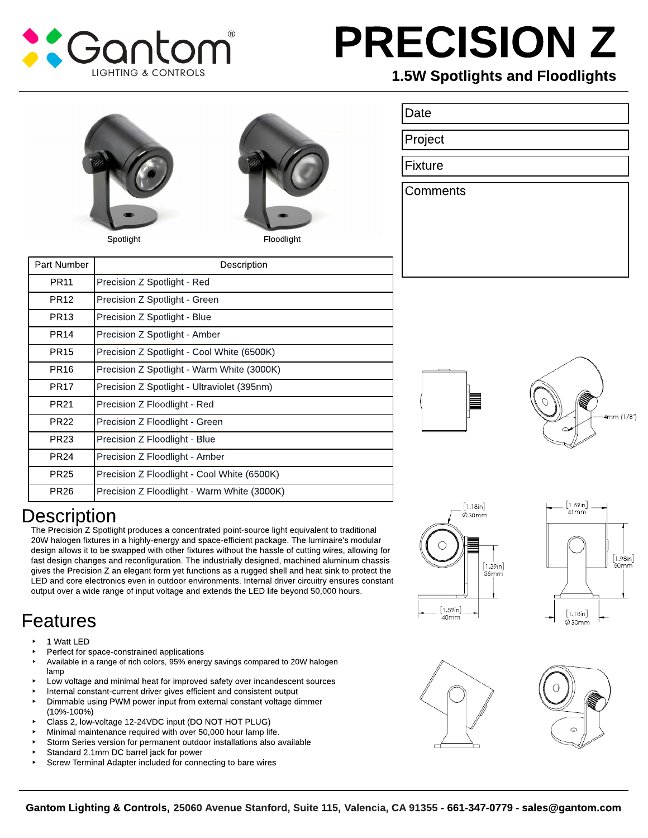

# PRECISION Z

### 1.5W Spotlights and Floodlights



## **Description**

The Precision Z Spotlight produces a concentrated point-source light equivalent to traditional 20W halogen fixtures in a highly-energy and space-efficient package. The luminaire's modular design allows it to be swapped with other fixtures without the hassle of cutting wires, allowing for fast design changes and reconfiguration. The industrially designed, machined aluminum chassis gives the Precision Z an elegant form yet functions as a rugged shell and heat sink to protect the LED and core electronics even in outdoor environments. Internal driver circuitry ensures constant output over a wide range of input voltage and extends the LED life beyond 50,000 hours.

## Features

- 1 Watt LED
- Perfect for space-constrained applications
- Available in a range of rich colors, 95% energy savings compared to 20W halogen lamp
- Low voltage and minimal heat for improved safety over incandescent sources
- Internal constant-current driver gives efficient and consistent output
- Dimmable using PWM power input from external constant voltage dimmer (10%-100%)
- Class 2, low-voltage 12-24VDC input (DO NOT HOT PLUG)
- Minimal maintenance required with over 50,000 hour lamp life.
- Storm Series version for permanent outdoor installations also available
- Standard 2.1mm DC barrel jack for power
- Screw Terminal Adapter included for connecting to bare wires